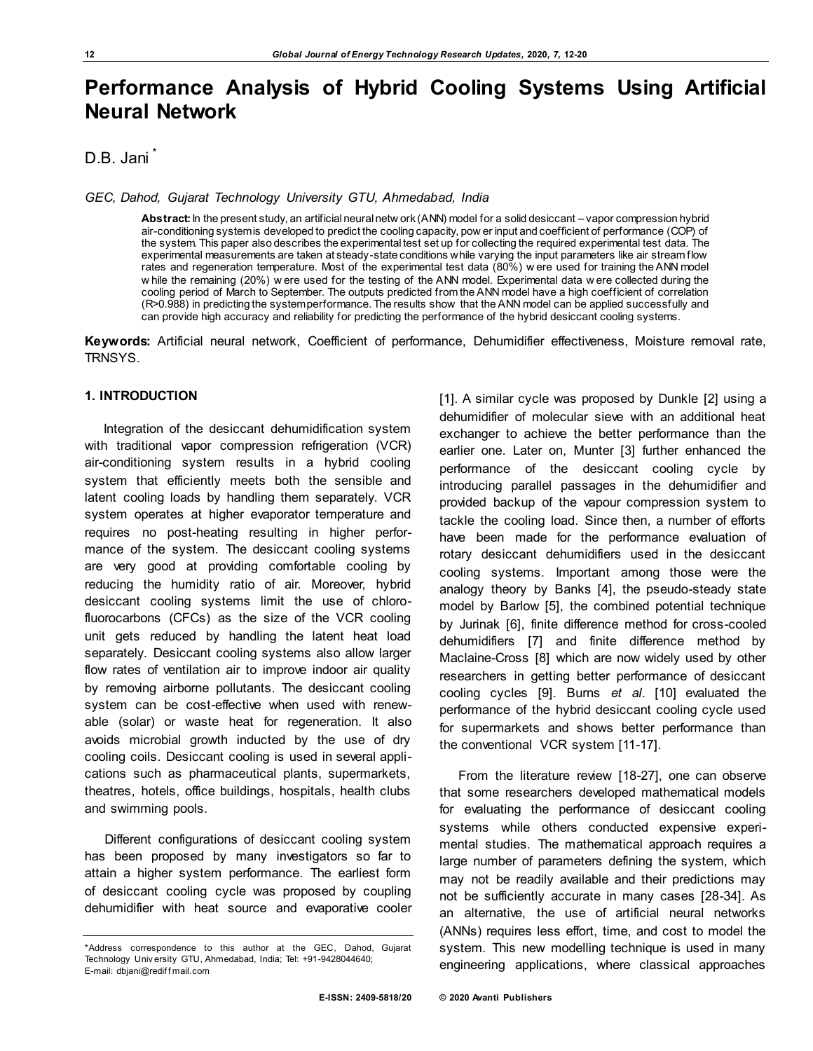# **Performance Analysis of Hybrid Cooling Systems Using Artificial Neural Network**

## D.B. Jani

*GEC, Dahod, Gujarat Technology University GTU, Ahmedabad, India* 

**Abstract:** In the present study, an artificial neural netw ork (ANN) model for a solid desiccant – vapor compression hybrid air-conditioning system is developed to predict the cooling capacity, pow er input and coefficient of performance (COP) of the system. This paper also describes the experimental test set up for collecting the required experimental test data. The experimental measurements are taken at steady-state conditions while varying the input parameters like air stream flow rates and regeneration temperature. Most of the experimental test data (80%) w ere used for training the ANN model w hile the remaining (20%) w ere used for the testing of the ANN model. Experimental data w ere collected during the cooling period of March to September. The outputs predicted from the ANN model have a high coefficient of correlation (R>0.988) in predicting the system performance. The results show that the ANN model can be applied successfully and can provide high accuracy and reliability for predicting the performance of the hybrid desiccant cooling systems.

**Keywords:** Artificial neural network, Coefficient of performance, Dehumidifier effectiveness, Moisture removal rate, TRNSYS.

## **1. INTRODUCTION**

Integration of the desiccant dehumidification system with traditional vapor compression refrigeration (VCR) air-conditioning system results in a hybrid cooling system that efficiently meets both the sensible and latent cooling loads by handling them separately. VCR system operates at higher evaporator temperature and requires no post-heating resulting in higher performance of the system. The desiccant cooling systems are very good at providing comfortable cooling by reducing the humidity ratio of air. Moreover, hybrid desiccant cooling systems limit the use of chlorofluorocarbons (CFCs) as the size of the VCR cooling unit gets reduced by handling the latent heat load separately. Desiccant cooling systems also allow larger flow rates of ventilation air to improve indoor air quality by removing airborne pollutants. The desiccant cooling system can be cost-effective when used with renewable (solar) or waste heat for regeneration. It also avoids microbial growth inducted by the use of dry cooling coils. Desiccant cooling is used in several applications such as pharmaceutical plants, supermarkets, theatres, hotels, office buildings, hospitals, health clubs and swimming pools.

Different configurations of desiccant cooling system has been proposed by many investigators so far to attain a higher system performance. The earliest form of desiccant cooling cycle was proposed by coupling dehumidifier with heat source and evaporative cooler [1]. A similar cycle was proposed by Dunkle [2] using a dehumidifier of molecular sieve with an additional heat exchanger to achieve the better performance than the earlier one. Later on, Munter [3] further enhanced the performance of the desiccant cooling cycle by introducing parallel passages in the dehumidifier and provided backup of the vapour compression system to tackle the cooling load. Since then, a number of efforts have been made for the performance evaluation of rotary desiccant dehumidifiers used in the desiccant cooling systems. Important among those were the analogy theory by Banks [4], the pseudo-steady state model by Barlow [5], the combined potential technique by Jurinak [6], finite difference method for cross-cooled dehumidifiers [7] and finite difference method by Maclaine-Cross [8] which are now widely used by other researchers in getting better performance of desiccant cooling cycles [9]. Burns *et al*. [10] evaluated the performance of the hybrid desiccant cooling cycle used for supermarkets and shows better performance than the conventional VCR system [11-17].

From the literature review [18-27], one can observe that some researchers developed mathematical models for evaluating the performance of desiccant cooling systems while others conducted expensive experimental studies. The mathematical approach requires a large number of parameters defining the system, which may not be readily available and their predictions may not be sufficiently accurate in many cases [28-34]. As an alternative, the use of artificial neural networks (ANNs) requires less effort, time, and cost to model the system. This new modelling technique is used in many engineering applications, where classical approaches

<sup>\*</sup>Address correspondence to this author at the GEC, Dahod, Gujarat Technology Univ ersity GTU, Ahmedabad, India; Tel: +91-9428044640; E-mail[: dbjani@redif f mail.com](mailto:dbjani@rediffmail.com)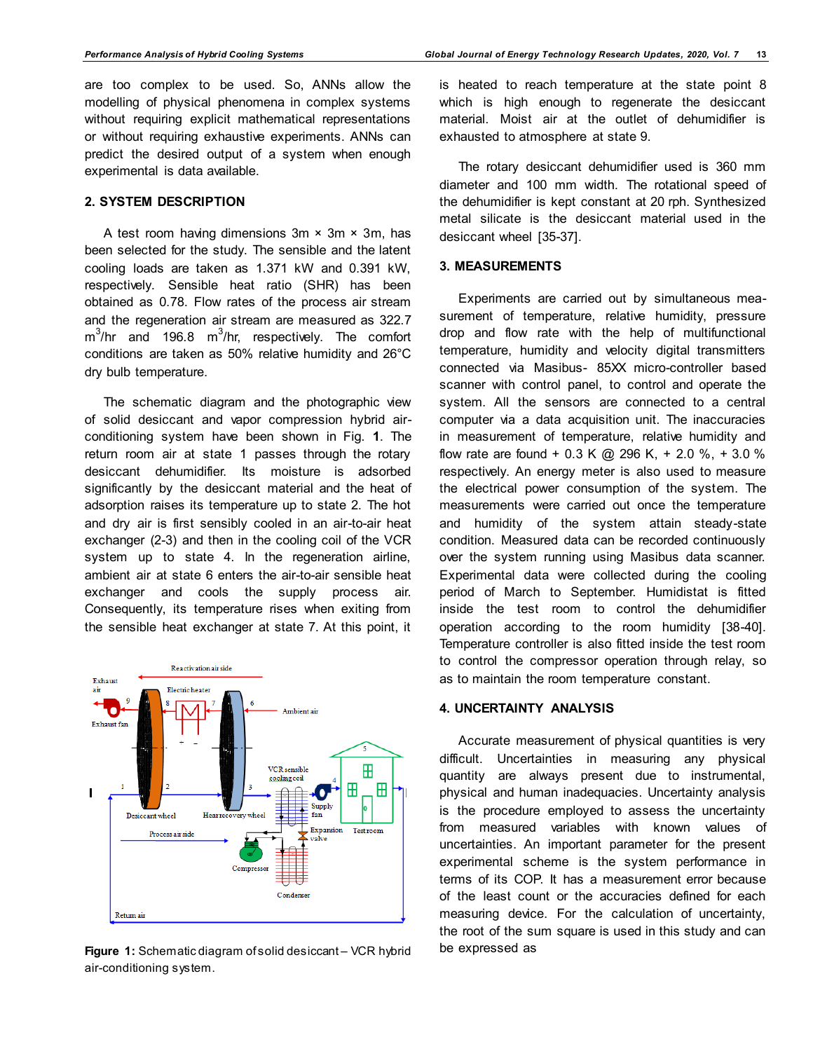are too complex to be used. So, ANNs allow the modelling of physical phenomena in complex systems without requiring explicit mathematical representations or without requiring exhaustive experiments. ANNs can predict the desired output of a system when enough experimental is data available.

## **2. SYSTEM DESCRIPTION**

A test room having dimensions  $3m \times 3m \times 3m$ , has been selected for the study. The sensible and the latent cooling loads are taken as 1.371 kW and 0.391 kW, respectively. Sensible heat ratio (SHR) has been obtained as 0.78. Flow rates of the process air stream and the regeneration air stream are measured as 322.7  $\text{m}^3\text{/hr}$  and 196.8  $\text{m}^3\text{/hr}$ , respectively. The comfort conditions are taken as 50% relative humidity and 26°C dry bulb temperature.

The schematic diagram and the photographic view of solid desiccant and vapor compression hybrid airconditioning system have been shown in Fig. **1**. The return room air at state 1 passes through the rotary desiccant dehumidifier. Its moisture is adsorbed significantly by the desiccant material and the heat of adsorption raises its temperature up to state 2. The hot and dry air is first sensibly cooled in an air-to-air heat exchanger (2-3) and then in the cooling coil of the VCR system up to state 4. In the regeneration airline, ambient air at state 6 enters the air-to-air sensible heat exchanger and cools the supply process air. Consequently, its temperature rises when exiting from the sensible heat exchanger at state 7. At this point, it



**Figure 1:** Schematic diagram of solid desiccant – VCR hybrid air-conditioning system.

is heated to reach temperature at the state point 8 which is high enough to regenerate the desiccant material. Moist air at the outlet of dehumidifier is exhausted to atmosphere at state 9.

The rotary desiccant dehumidifier used is 360 mm diameter and 100 mm width. The rotational speed of the dehumidifier is kept constant at 20 rph. Synthesized metal silicate is the desiccant material used in the desiccant wheel [35-37].

#### **3. MEASUREMENTS**

Experiments are carried out by simultaneous measurement of temperature, relative humidity, pressure drop and flow rate with the help of multifunctional temperature, humidity and velocity digital transmitters connected via Masibus- 85XX micro-controller based scanner with control panel, to control and operate the system. All the sensors are connected to a central computer via a data acquisition unit. The inaccuracies in measurement of temperature, relative humidity and flow rate are found + 0.3 K @ 296 K, + 2.0 %, + 3.0 % respectively. An energy meter is also used to measure the electrical power consumption of the system. The measurements were carried out once the temperature and humidity of the system attain steady-state condition. Measured data can be recorded continuously over the system running using Masibus data scanner. Experimental data were collected during the cooling period of March to September. Humidistat is fitted inside the test room to control the dehumidifier operation according to the room humidity [38-40]. Temperature controller is also fitted inside the test room to control the compressor operation through relay, so as to maintain the room temperature constant.

### **4. UNCERTAINTY ANALYSIS**

Accurate measurement of physical quantities is very difficult. Uncertainties in measuring any physical quantity are always present due to instrumental, physical and human inadequacies. Uncertainty analysis is the procedure employed to assess the uncertainty from measured variables with known values of uncertainties. An important parameter for the present experimental scheme is the system performance in terms of its COP. It has a measurement error because of the least count or the accuracies defined for each measuring device. For the calculation of uncertainty, the root of the sum square is used in this study and can be expressed as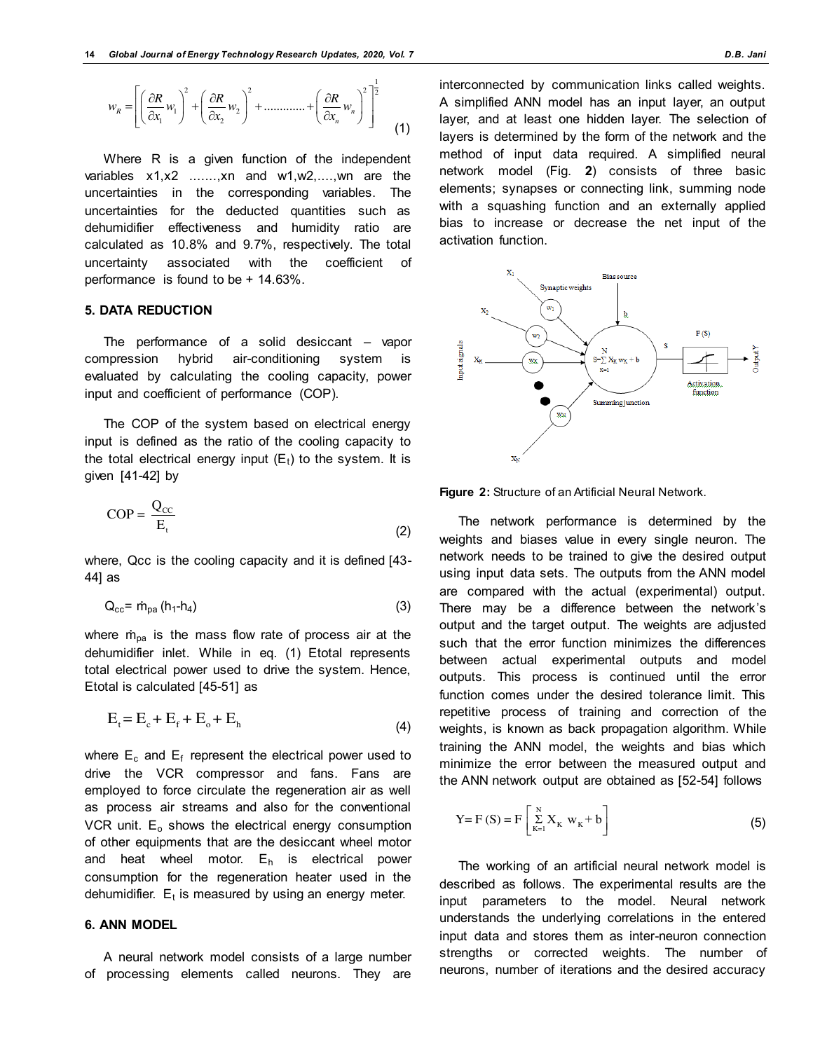$$
w_R = \left[ \left( \frac{\partial R}{\partial x_1} w_1 \right)^2 + \left( \frac{\partial R}{\partial x_2} w_2 \right)^2 + \dots + \left( \frac{\partial R}{\partial x_n} w_n \right)^2 \right]^{\frac{1}{2}}
$$
(1)

Where R is a given function of the independent variables x1,x2 .......,xn and w1,w2,....,wn are the uncertainties in the corresponding variables. The uncertainties for the deducted quantities such as dehumidifier effectiveness and humidity ratio are calculated as 10.8% and 9.7%, respectively. The total uncertainty associated with the coefficient of performance is found to be + 14.63%.

## **5. DATA REDUCTION**

The performance of a solid desiccant – vapor compression hybrid air-conditioning system is evaluated by calculating the cooling capacity, power input and coefficient of performance (COP).

The COP of the system based on electrical energy input is defined as the ratio of the cooling capacity to the total electrical energy input  $(E_t)$  to the system. It is given [41-42] by

$$
COP = \frac{Q_{CC}}{E_t}
$$
 (2)

where, Qcc is the cooling capacity and it is defined [43- 44] as

$$
Q_{cc} = \dot{m}_{pa} \left( h_1 - h_4 \right) \tag{3}
$$

where  $\dot{m}_{pa}$  is the mass flow rate of process air at the dehumidifier inlet. While in eq. (1) Etotal represents total electrical power used to drive the system. Hence, Etotal is calculated [45-51] as

$$
E_t = E_c + E_f + E_o + E_h \tag{4}
$$

where  $\mathsf{E}_{\mathsf{c}}$  and  $\mathsf{E}_{\mathsf{f}}$  represent the electrical power used to drive the VCR compressor and fans. Fans are employed to force circulate the regeneration air as well as process air streams and also for the conventional VCR unit.  $E_0$  shows the electrical energy consumption of other equipments that are the desiccant wheel motor and heat wheel motor.  $E_h$  is electrical power consumption for the regeneration heater used in the dehumidifier.  ${\sf E}_{\sf t}$  is measured by using an energy meter.

## **6. ANN MODEL**

A neural network model consists of a large number of processing elements called neurons. They are

interconnected by communication links called weights. A simplified ANN model has an input layer, an output layer, and at least one hidden layer. The selection of layers is determined by the form of the network and the method of input data required. A simplified neural network model (Fig. **2**) consists of three basic elements; synapses or connecting link, summing node with a squashing function and an externally applied bias to increase or decrease the net input of the activation function.



**Figure 2:** Structure of an Artificial Neural Network.

The network performance is determined by the weights and biases value in every single neuron. The network needs to be trained to give the desired output using input data sets. The outputs from the ANN model are compared with the actual (experimental) output. There may be a difference between the network's output and the target output. The weights are adjusted such that the error function minimizes the differences between actual experimental outputs and model outputs. This process is continued until the error function comes under the desired tolerance limit. This repetitive process of training and correction of the weights, is known as back propagation algorithm. While training the ANN model, the weights and bias which minimize the error between the measured output and the ANN network output are obtained as [52-54] follows

Y = F (S) = F 
$$
\left[ \sum_{K=1}^{N} X_K w_K + b \right]
$$
 (5)

The working of an artificial neural network model is described as follows. The experimental results are the input parameters to the model. Neural network understands the underlying correlations in the entered input data and stores them as inter-neuron connection strengths or corrected weights. The number of neurons, number of iterations and the desired accuracy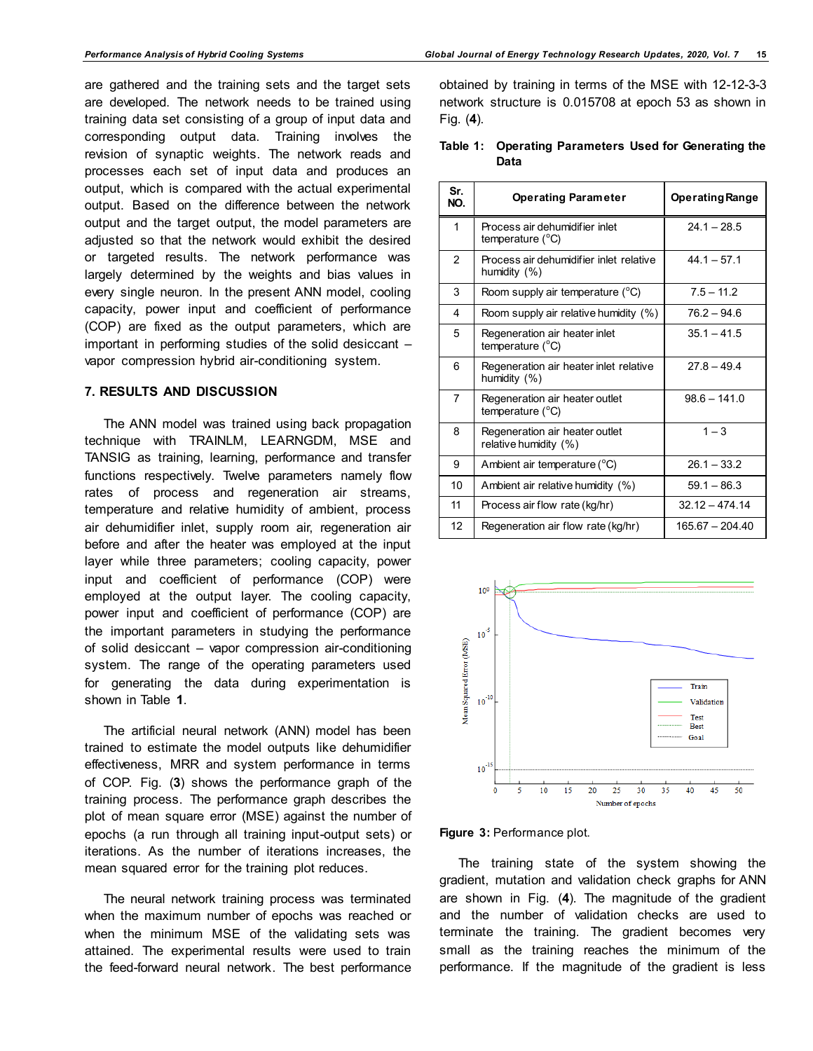are gathered and the training sets and the target sets are developed. The network needs to be trained using training data set consisting of a group of input data and corresponding output data. Training involves the revision of synaptic weights. The network reads and processes each set of input data and produces an output, which is compared with the actual experimental output. Based on the difference between the network output and the target output, the model parameters are adjusted so that the network would exhibit the desired or targeted results. The network performance was largely determined by the weights and bias values in every single neuron. In the present ANN model, cooling capacity, power input and coefficient of performance (COP) are fixed as the output parameters, which are important in performing studies of the solid desiccant – vapor compression hybrid air-conditioning system.

## **7. RESULTS AND DISCUSSION**

The ANN model was trained using back propagation technique with TRAINLM, LEARNGDM, MSE and TANSIG as training, learning, performance and transfer functions respectively. Twelve parameters namely flow rates of process and regeneration air streams, temperature and relative humidity of ambient, process air dehumidifier inlet, supply room air, regeneration air before and after the heater was employed at the input layer while three parameters; cooling capacity, power input and coefficient of performance (COP) were employed at the output layer. The cooling capacity, power input and coefficient of performance (COP) are the important parameters in studying the performance of solid desiccant – vapor compression air-conditioning system. The range of the operating parameters used for generating the data during experimentation is shown in Table **1**.

The artificial neural network (ANN) model has been trained to estimate the model outputs like dehumidifier effectiveness, MRR and system performance in terms of COP. Fig. (**3**) shows the performance graph of the training process. The performance graph describes the plot of mean square error (MSE) against the number of epochs (a run through all training input-output sets) or iterations. As the number of iterations increases, the mean squared error for the training plot reduces.

The neural network training process was terminated when the maximum number of epochs was reached or when the minimum MSE of the validating sets was attained. The experimental results were used to train the feed-forward neural network. The best performance obtained by training in terms of the MSE with 12-12-3-3 network structure is 0.015708 at epoch 53 as shown in Fig. (**4**).

|      |  | Table 1: Operating Parameters Used for Generating the |
|------|--|-------------------------------------------------------|
| Data |  |                                                       |

| Sr.<br>NO.     | <b>Operating Parameter</b>                                  | <b>Operating Range</b> |
|----------------|-------------------------------------------------------------|------------------------|
| 1              | Process air dehumidifier inlet<br>temperature (°C)          | $24.1 - 28.5$          |
| $\overline{2}$ | Process air dehumidifier inlet relative<br>humidity (%)     | $44.1 - 57.1$          |
| 3              | Room supply air temperature $(^{\circ}C)$                   | $7.5 - 11.2$           |
| 4              | Room supply air relative humidity (%)                       | $76.2 - 94.6$          |
| 5              | Regeneration air heater inlet<br>temperature $(^{\circ}C)$  | $35.1 - 41.5$          |
| 6              | Regeneration air heater inlet relative<br>humidity (%)      | $27.8 - 49.4$          |
| $\overline{7}$ | Regeneration air heater outlet<br>temperature $(^{\circ}C)$ | $98.6 - 141.0$         |
| 8              | Regeneration air heater outlet<br>relative humidity (%)     | $1 - 3$                |
| 9              | Ambient air temperature (°C)                                | $26.1 - 33.2$          |
| 10             | Ambient air relative humidity (%)                           | $59.1 - 86.3$          |
| 11             | Process air flow rate (kg/hr)                               | $32.12 - 474.14$       |
| 12             | Regeneration air flow rate (kg/hr)                          | 165.67 - 204.40        |



#### **Figure 3:** Performance plot.

The training state of the system showing the gradient, mutation and validation check graphs for ANN are shown in Fig. (**4**). The magnitude of the gradient and the number of validation checks are used to terminate the training. The gradient becomes very small as the training reaches the minimum of the performance. If the magnitude of the gradient is less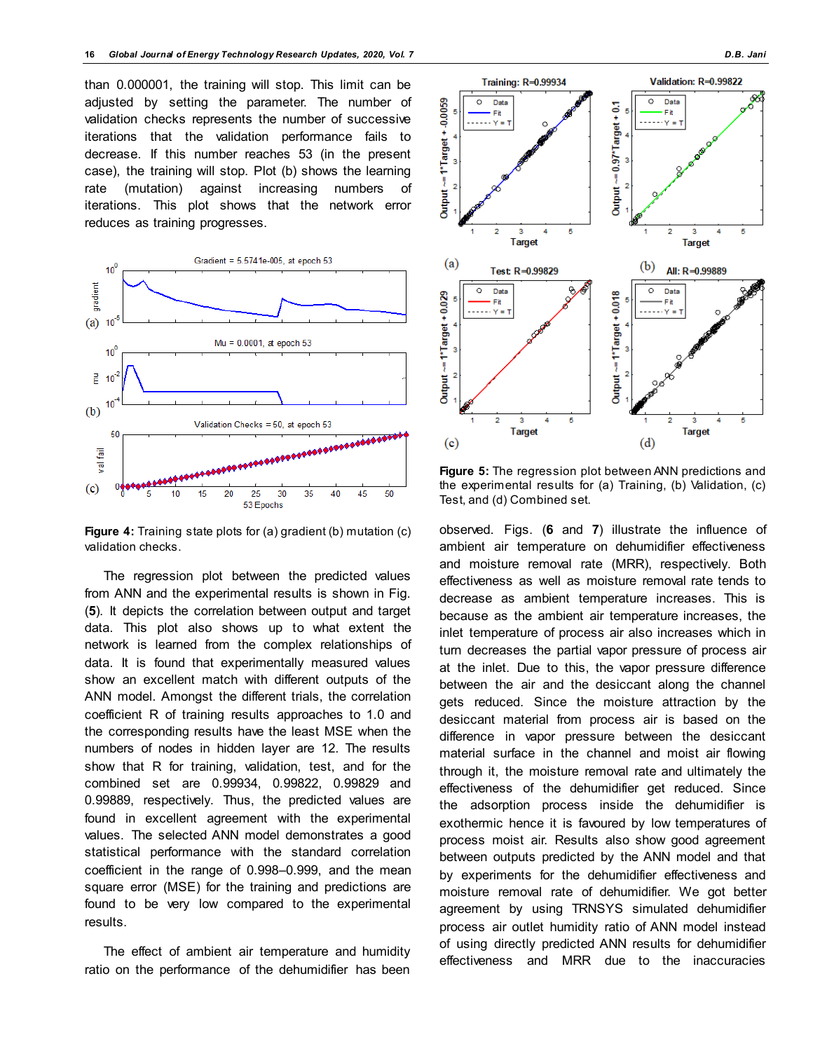than 0.000001, the training will stop. This limit can be adjusted by setting the parameter. The number of validation checks represents the number of successive iterations that the validation performance fails to decrease. If this number reaches 53 (in the present case), the training will stop. Plot (b) shows the learning rate (mutation) against increasing numbers of iterations. This plot shows that the network error reduces as training progresses.



**Figure 4:** Training state plots for (a) gradient (b) mutation (c) validation checks.

The regression plot between the predicted values from ANN and the experimental results is shown in Fig. (**5**). It depicts the correlation between output and target data. This plot also shows up to what extent the network is learned from the complex relationships of data. It is found that experimentally measured values show an excellent match with different outputs of the ANN model. Amongst the different trials, the correlation coefficient R of training results approaches to 1.0 and the corresponding results have the least MSE when the numbers of nodes in hidden layer are 12. The results show that R for training, validation, test, and for the combined set are 0.99934, 0.99822, 0.99829 and 0.99889, respectively. Thus, the predicted values are found in excellent agreement with the experimental values. The selected ANN model demonstrates a good statistical performance with the standard correlation coefficient in the range of 0.998–0.999, and the mean square error (MSE) for the training and predictions are found to be very low compared to the experimental results.

The effect of ambient air temperature and humidity ratio on the performance of the dehumidifier has been



**Figure 5:** The regression plot between ANN predictions and the experimental results for (a) Training, (b) Validation, (c) Test, and (d) Combined set.

observed. Figs. (**6** and **7**) illustrate the influence of ambient air temperature on dehumidifier effectiveness and moisture removal rate (MRR), respectively. Both effectiveness as well as moisture removal rate tends to decrease as ambient temperature increases. This is because as the ambient air temperature increases, the inlet temperature of process air also increases which in turn decreases the partial vapor pressure of process air at the inlet. Due to this, the vapor pressure difference between the air and the desiccant along the channel gets reduced. Since the moisture attraction by the desiccant material from process air is based on the difference in vapor pressure between the desiccant material surface in the channel and moist air flowing through it, the moisture removal rate and ultimately the effectiveness of the dehumidifier get reduced. Since the adsorption process inside the dehumidifier is exothermic hence it is favoured by low temperatures of process moist air. Results also show good agreement between outputs predicted by the ANN model and that by experiments for the dehumidifier effectiveness and moisture removal rate of dehumidifier. We got better agreement by using TRNSYS simulated dehumidifier process air outlet humidity ratio of ANN model instead of using directly predicted ANN results for dehumidifier effectiveness and MRR due to the inaccuracies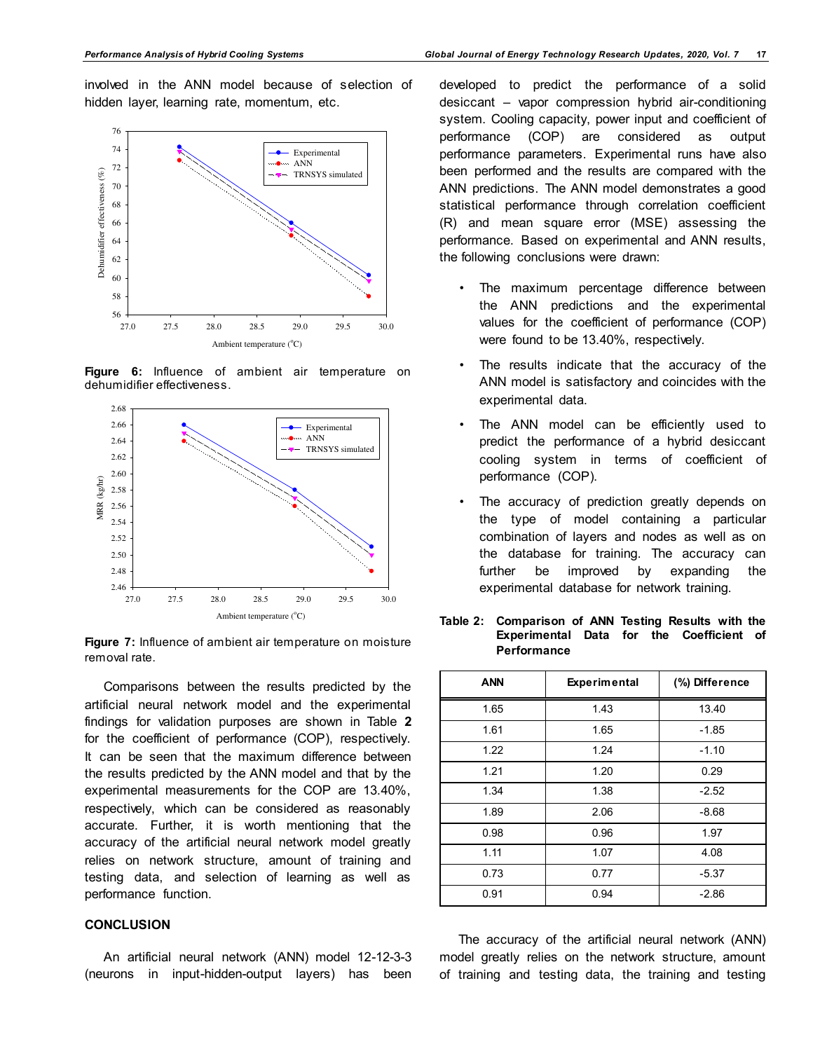involved in the ANN model because of selection of hidden layer, learning rate, momentum, etc.



**Figure 6:** Influence of ambient air temperature on dehumidifier effectiveness.



**Figure 7:** Influence of ambient air temperature on moisture removal rate.

Comparisons between the results predicted by the artificial neural network model and the experimental findings for validation purposes are shown in Table **2** for the coefficient of performance (COP), respectively. It can be seen that the maximum difference between the results predicted by the ANN model and that by the experimental measurements for the COP are 13.40%, respectively, which can be considered as reasonably accurate. Further, it is worth mentioning that the accuracy of the artificial neural network model greatly relies on network structure, amount of training and testing data, and selection of learning as well as performance function.

### **CONCLUSION**

An artificial neural network (ANN) model 12-12-3-3 (neurons in input-hidden-output layers) has been

developed to predict the performance of a solid desiccant – vapor compression hybrid air-conditioning system. Cooling capacity, power input and coefficient of performance (COP) are considered as output performance parameters. Experimental runs have also been performed and the results are compared with the ANN predictions. The ANN model demonstrates a good statistical performance through correlation coefficient (R) and mean square error (MSE) assessing the performance. Based on experimental and ANN results, the following conclusions were drawn:

- The maximum percentage difference between the ANN predictions and the experimental values for the coefficient of performance (COP) were found to be 13.40%, respectively.
- The results indicate that the accuracy of the ANN model is satisfactory and coincides with the experimental data.
- The ANN model can be efficiently used to predict the performance of a hybrid desiccant cooling system in terms of coefficient of performance (COP).
- The accuracy of prediction greatly depends on the type of model containing a particular combination of layers and nodes as well as on the database for training. The accuracy can further be improved by expanding the experimental database for network training.

| <b>ANN</b> | <b>Experimental</b> | (%) Difference |
|------------|---------------------|----------------|
| 1.65       | 1.43                | 13.40          |
| 1.61       | 1.65                | $-1.85$        |
| 1.22       | 1.24                | $-1.10$        |
| 1.21       | 1.20                | 0.29           |
| 1.34       | 1.38                | $-2.52$        |
| 1.89       | 2.06                | $-8.68$        |
| 0.98       | 0.96                | 1.97           |
| 1.11       | 1.07                | 4.08           |
| 0.73       | 0.77                | $-5.37$        |
| 0.91       | 0.94                | $-2.86$        |

**Table 2: Comparison of ANN Testing Results with the Experimental Data for the Coefficient of Performance** 

The accuracy of the artificial neural network (ANN) model greatly relies on the network structure, amount of training and testing data, the training and testing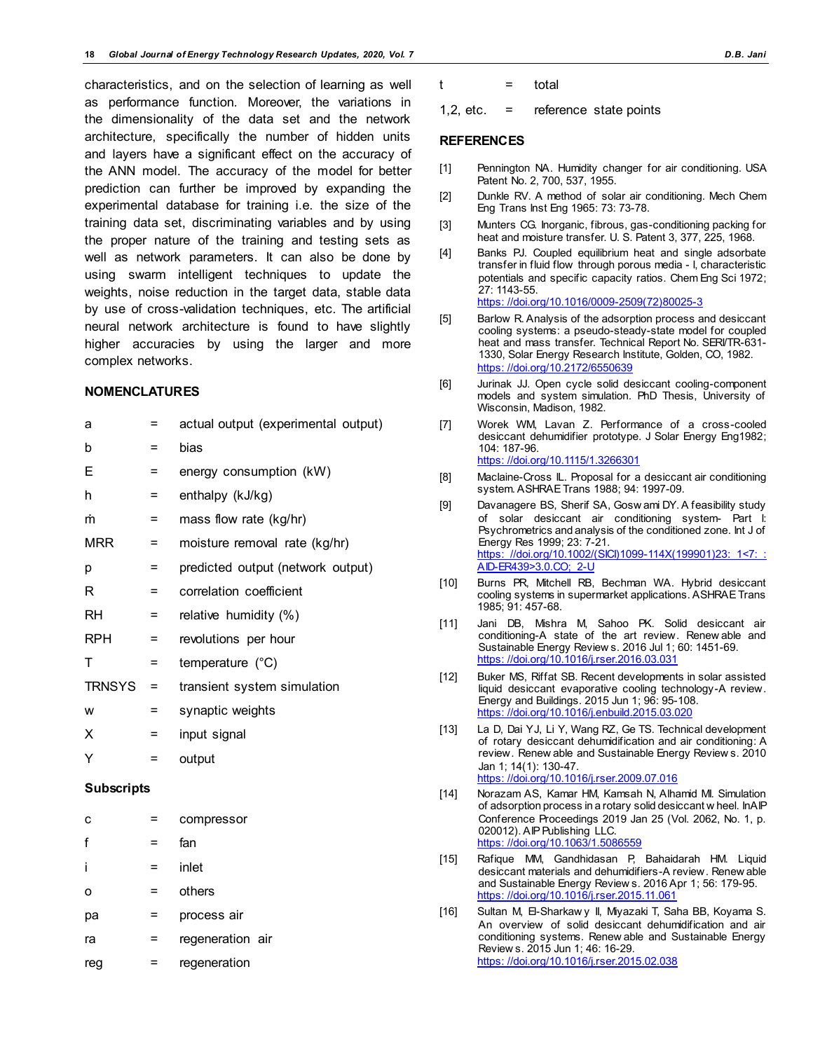characteristics, and on the selection of learning as well as performance function. Moreover, the variations in the dimensionality of the data set and the network architecture, specifically the number of hidden units and layers have a significant effect on the accuracy of the ANN model. The accuracy of the model for better prediction can further be improved by expanding the experimental database for training i.e. the size of the training data set, discriminating variables and by using the proper nature of the training and testing sets as well as network parameters. It can also be done by using swarm intelligent techniques to update the weights, noise reduction in the target data, stable data by use of cross-validation techniques, etc. The artificial neural network architecture is found to have slightly higher accuracies by using the larger and more complex networks.

#### **NOMENCLATURES**

| a                 | Ξ   | actual output (experimental output) |
|-------------------|-----|-------------------------------------|
| b                 | Ξ   | bias                                |
| Ε                 | =   | energy consumption (kW)             |
| h                 | Ξ   | enthalpy (kJ/kg)                    |
| m                 | =   | mass flow rate (kg/hr)              |
| <b>MRR</b>        | Ξ   | moisture removal rate (kg/hr)       |
| p                 | Ξ   | predicted output (network output)   |
| R                 | =   | correlation coefficient             |
| <b>RH</b>         | =   | relative humidity (%)               |
| <b>RPH</b>        | =   | revolutions per hour                |
| т                 | =   | temperature (°C)                    |
| <b>TRNSYS</b>     | $=$ | transient system simulation         |
| W                 | =   | synaptic weights                    |
| Χ                 | =   | input signal                        |
| Υ                 | =   | output                              |
| <b>Subscripts</b> |     |                                     |
| с                 | =   | compressor                          |
| f                 | =   | fan                                 |
| i                 | Ξ   | inlet                               |
| о                 | Ξ   | others                              |
| рa                | =   | process air                         |
|                   |     |                                     |

ra = regeneration air

reg = regeneration

 $t = \text{total}$ 

1,2, etc.  $=$  reference state points

#### **REFERENCES**

- [1] Pennington NA. Humidity changer for air conditioning. USA Patent No. 2, 700, 537, 1955.
- [2] Dunkle RV. A method of solar air conditioning. Mech Chem Eng Trans Inst Eng 1965: 73: 73-78.
- [3] Munters CG. Inorganic, fibrous, gas-conditioning packing for heat and moisture transfer. U. S. Patent 3, 377, 225, 1968.
- [4] Banks PJ. Coupled equilibrium heat and single adsorbate transfer in fluid flow through porous media - I, characteristic potentials and specific capacity ratios. Chem Eng Sci 1972; 27: 1143-55. [https: //doi.org/10.1016/0009-2509\(72\)80025-3](https://doi.org/10.1016/0009-2509(72)80025-3)
- [5] Barlow R. Analysis of the adsorption process and desiccant cooling systems: a pseudo-steady-state model for coupled heat and mass transfer. Technical Report No. SERI/TR-631- 1330, Solar Energy Research Institute, Golden, CO, 1982. [https: //doi.org/10.2172/6550639](https://doi.org/10.2172/6550639)
- [6] Jurinak JJ. Open cycle solid desiccant cooling-component models and system simulation. PhD Thesis, University of Wisconsin, Madison, 1982.
- [7] Worek WM, Lavan Z. Performance of a cross-cooled desiccant dehumidifier prototype. J Solar Energy Eng1982; 104: 187-96. [https: //doi.org/10.1115/1.3266301](https://doi.org/10.1115/1.3266301)
- [8] Maclaine-Cross IL. Proposal for a desiccant air conditioning system. ASHRAE Trans 1988; 94: 1997-09.
- [9] Davanagere BS, Sherif SA, Gosw ami DY. A feasibility study of solar desiccant air conditioning system- Part I: Psychrometrics and analysis of the conditioned zone. Int J of Energy Res 1999; 23: 7-21. https://doi.org/10.1002/(SICI)1099-114X(199901)23: 1<7: : [AID-ER439>3.0.CO; 2-U](https://doi.org/10.1002/(SICI)1099-114X(199901)23:1%3C7::AID-ER439%3E3.0.CO;2-U)
- [10] Burns PR, Mitchell RB, Bechman WA. Hybrid desiccant cooling systems in supermarket applications. ASHRAE Trans 1985; 91: 457-68.
- [11] Jani DB, Mishra M, Sahoo PK. Solid desiccant air conditioning-A state of the art review. Renew able and Sustainable Energy Review s. 2016 Jul 1; 60: 1451-69. [https: //doi.org/10.1016/j.rser.2016.03.031](https://doi.org/10.1016/j.rser.2016.03.031)
- [12] Buker MS, Riffat SB. Recent developments in solar assisted liquid desiccant evaporative cooling technology-A review. Energy and Buildings. 2015 Jun 1; 96: 95-108. [https: //doi.org/10.1016/j.enbuild.2015.03.020](https://doi.org/10.1016/j.enbuild.2015.03.020)
- [13] La D, Dai YJ, Li Y, Wang RZ, Ge TS. Technical development of rotary desiccant dehumidification and air conditioning: A review. Renew able and Sustainable Energy Review s. 2010 Jan 1; 14(1): 130-47. [https: //doi.org/10.1016/j.rser.2009.07.016](https://doi.org/10.1016/j.rser.2009.07.016)
- [14] Norazam AS, Kamar HM, Kamsah N, Alhamid MI. Simulation of adsorption process in a rotary solid desiccant w heel. InAIP Conference Proceedings 2019 Jan 25 (Vol. 2062, No. 1, p. 020012). AIP Publishing LLC. https://doi.org/10.1063/1.508
- [15] Rafique MM, Gandhidasan P, Bahaidarah HM. Liquid desiccant materials and dehumidifiers-A review. Renew able and Sustainable Energy Review s. 2016 Apr 1; 56: 179-95. [https: //doi.org/10.1016/j.rser.2015.11.061](https://doi.org/10.1016/j.rser.2015.11.061)
- [16] Sultan M, El-Sharkaw y II, Miyazaki T, Saha BB, Koyama S. An overview of solid desiccant dehumidification and air conditioning systems. Renew able and Sustainable Energy Review s. 2015 Jun 1; 46: 16-29. [https: //doi.org/10.1016/j.rser.2015.02.038](https://doi.org/10.1016/j.rser.2015.02.038)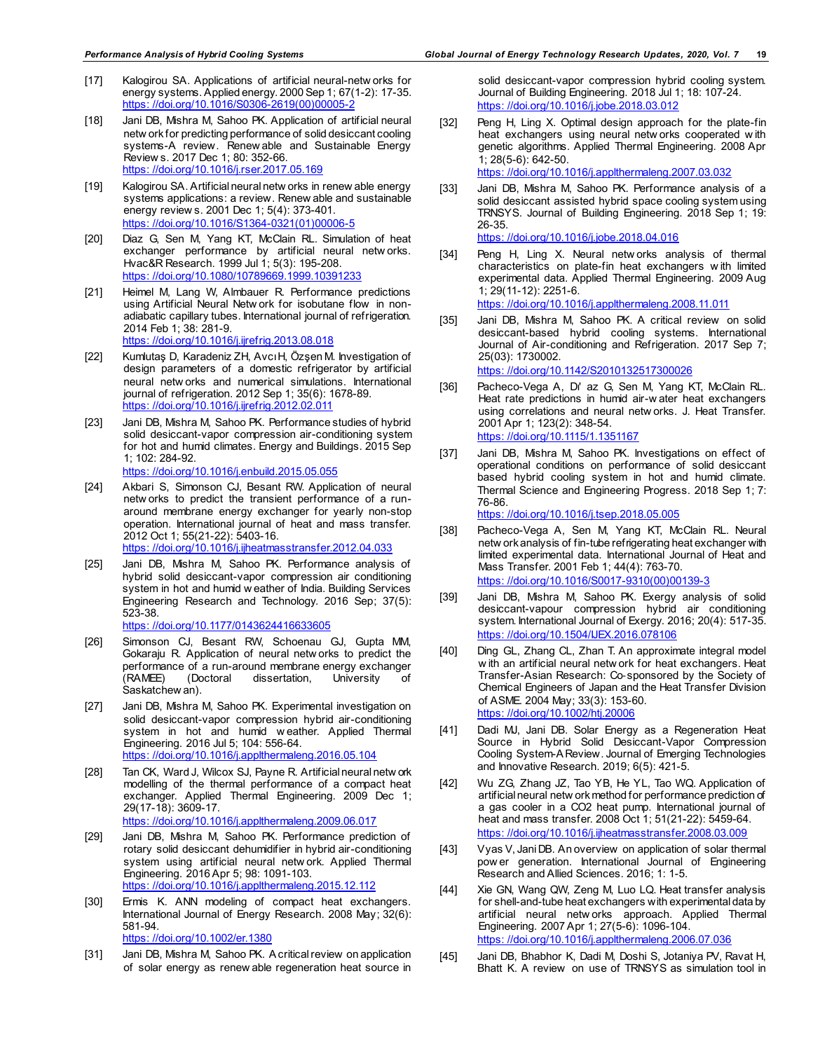- [17] Kalogirou SA. Applications of artificial neural-netw orks for energy systems. Applied energy. 2000 Sep 1; 67(1-2): 17-35. [https: //doi.org/10.1016/S0306-2619\(00\)00005-2](https://doi.org/10.1016/S0306-2619(00)00005-2)
- [18] Jani DB, Mishra M, Sahoo PK. Application of artificial neural netw ork for predicting performance of solid desiccant cooling systems-A review. Renew able and Sustainable Energy Review s. 2017 Dec 1; 80: 352-66. [https: //doi.org/10.1016/j.rser.2017.05.169](https://doi.org/10.1016/j.rser.2017.05.169)
- [19] Kalogirou SA. Artificial neural netw orks in renew able energy systems applications: a review. Renew able and sustainable energy review s. 2001 Dec 1; 5(4): 373-401. [https: //doi.org/10.1016/S1364-0321\(01\)00006-5](https://doi.org/10.1016/S1364-0321(01)00006-5)
- [20] Diaz G, Sen M, Yang KT, McClain RL. Simulation of heat exchanger performance by artificial neural netw orks. Hvac&R Research. 1999 Jul 1; 5(3): 195-208. [https: //doi.org/10.1080/10789669.1999.10391233](https://doi.org/10.1080/10789669.1999.10391233)
- [21] Heimel M, Lang W, Almbauer R. Performance predictions using Artificial Neural Netw ork for isobutane flow in nonadiabatic capillary tubes. International journal of refrigeration. 2014 Feb 1; 38: 281-9. [https: //doi.org/10.1016/j.ijrefrig.2013.08.018](https://doi.org/10.1016/j.ijrefrig.2013.08.018)
- [22] Kumlutaş D, Karadeniz ZH, Avcı H, Özşen M. Investigation of design parameters of a domestic refrigerator by artificial neural netw orks and numerical simulations. International journal of refrigeration. 2012 Sep 1; 35(6): 1678-89. [https: //doi.org/10.1016/j.ijrefrig.2012.02.011](https://doi.org/10.1016/j.ijrefrig.2012.02.011)
- [23] Jani DB, Mishra M, Sahoo PK. Performance studies of hybrid solid desiccant-vapor compression air-conditioning system for hot and humid climates. Energy and Buildings. 2015 Sep 1; 102: 284-92. [https: //doi.org/10.1016/j.enbuild.2015.05.055](https://doi.org/10.1016/j.enbuild.2015.05.055)
- [24] Akbari S, Simonson CJ, Besant RW. Application of neural netw orks to predict the transient performance of a runaround membrane energy exchanger for yearly non-stop operation. International journal of heat and mass transfer. 2012 Oct 1; 55(21-22): 5403-16. [https: //doi.org/10.1016/j.ijheatmasstransfer.2012.04.033](https://doi.org/10.1016/j.ijheatmasstransfer.2012.04.033)
- [25] Jani DB, Mishra M, Sahoo PK. Performance analysis of hybrid solid desiccant-vapor compression air conditioning system in hot and humid w eather of India. Building Services Engineering Research and Technology. 2016 Sep; 37(5): 523-38. [https: //doi.org/10.1177/0143624416633605](https://doi.org/10.1177/0143624416633605)
- [26] Simonson CJ, Besant RW, Schoenau GJ, Gupta MM, Gokaraju R. Application of neural netw orks to predict the performance of a run-around membrane energy exchanger<br>(RAMEE) (Doctoral dissertation, University of dissertation, University Saskatchew an).
- [27] Jani DB, Mishra M, Sahoo PK. Experimental investigation on solid desiccant-vapor compression hybrid air-conditioning system in hot and humid w eather. Applied Thermal Engineering. 2016 Jul 5; 104: 556-64. [https: //doi.org/10.1016/j.applthermaleng.2016.05.104](https://doi.org/10.1016/j.applthermaleng.2016.05.104)
- [28] Tan CK, Ward J, Wilcox SJ, Payne R. Artificial neural netw ork modelling of the thermal performance of a compact heat exchanger. Applied Thermal Engineering. 2009 Dec 1; 29(17-18): 3609-17. [https: //doi.org/10.1016/j.applthermaleng.2009.06.017](https://doi.org/10.1016/j.applthermaleng.2009.06.017)
- [29] Jani DB, Mishra M, Sahoo PK. Performance prediction of rotary solid desiccant dehumidifier in hybrid air-conditioning system using artificial neural netw ork. Applied Thermal Engineering. 2016 Apr 5; 98: 1091-103. [https: //doi.org/10.1016/j.applthermaleng.2015.12.112](https://doi.org/10.1016/j.applthermaleng.2015.12.112)
- [30] Ermis K. ANN modeling of compact heat exchangers. International Journal of Energy Research. 2008 May; 32(6): 581-94. [https: //doi.org/10.1002/er.1380](https://doi.org/10.1002/er.1380)
- [31] Jani DB, Mishra M, Sahoo PK. A critical review on application of solar energy as renew able regeneration heat source in

solid desiccant-vapor compression hybrid cooling system. Journal of Building Engineering. 2018 Jul 1; 18: 107-24. [https: //doi.org/10.1016/j.jobe.2018.03.012](https://doi.org/10.1016/j.jobe.2018.03.012)

[32] Peng H, Ling X. Optimal design approach for the plate-fin heat exchangers using neural netw orks cooperated w ith genetic algorithms. Applied Thermal Engineering. 2008 Apr 1; 28(5-6): 642-50.

[https: //doi.org/10.1016/j.applthermaleng.2007.03.032](https://doi.org/10.1016/j.applthermaleng.2007.03.032)

- [33] Jani DB, Mishra M, Sahoo PK. Performance analysis of a solid desiccant assisted hybrid space cooling system using TRNSYS. Journal of Building Engineering. 2018 Sep 1; 19: 26-35. [https: //doi.org/10.1016/j.jobe.2018.04.016](https://doi.org/10.1016/j.jobe.2018.04.016)
- [34] Peng H, Ling X. Neural netw orks analysis of thermal characteristics on plate-fin heat exchangers w ith limited experimental data. Applied Thermal Engineering. 2009 Aug 1; 29(11-12): 2251-6. [https: //doi.org/10.1016/j.applthermaleng.2008.11.011](https://doi.org/10.1016/j.applthermaleng.2008.11.011)
- [35] Jani DB, Mishra M, Sahoo PK. A critical review on solid desiccant-based hybrid cooling systems. International Journal of Air-conditioning and Refrigeration. 2017 Sep 7; 25(03): 1730002.

[https: //doi.org/10.1142/S2010132517300026](https://doi.org/10.1142/S2010132517300026)

- [36] Pacheco-Vega A, Di' az G, Sen M, Yang KT, McClain RL. Heat rate predictions in humid air-w ater heat exchangers using correlations and neural netw orks. J. Heat Transfer. 2001 Apr 1; 123(2): 348-54. [https: //doi.org/10.1115/1.1351167](https://doi.org/10.1115/1.1351167)
- [37] Jani DB, Mishra M, Sahoo PK. Investigations on effect of operational conditions on performance of solid desiccant based hybrid cooling system in hot and humid climate. Thermal Science and Engineering Progress. 2018 Sep 1; 7: 76-86.

[https: //doi.org/10.1016/j.tsep.2018.05.005](https://doi.org/10.1016/j.tsep.2018.05.005)

- [38] Pacheco-Vega A, Sen M, Yang KT, McClain RL. Neural netw ork analysis of fin-tube refrigerating heat exchanger with limited experimental data. International Journal of Heat and Mass Transfer. 2001 Feb 1; 44(4): 763-70. [https: //doi.org/10.1016/S0017-9310\(00\)00139-3](https://doi.org/10.1016/S0017-9310(00)00139-3)
- [39] Jani DB, Mishra M, Sahoo PK. Exergy analysis of solid desiccant-vapour compression hybrid air conditioning system. International Journal of Exergy. 2016; 20(4): 517-35. [https: //doi.org/10.1504/IJEX.2016.078106](https://doi.org/10.1504/IJEX.2016.078106)
- [40] Ding GL, Zhang CL, Zhan T. An approximate integral model w ith an artificial neural netw ork for heat exchangers. Heat Transfer-Asian Research: Co‐sponsored by the Society of Chemical Engineers of Japan and the Heat Transfer Division of ASME. 2004 May; 33(3): 153-60. [https: //doi.org/10.1002/htj.20006](https://doi.org/10.1002/htj.20006)
- [41] Dadi MJ, Jani DB. Solar Energy as a Regeneration Heat Source in Hybrid Solid Desiccant-Vapor Compression Cooling System-A Review. Journal of Emerging Technologies and Innovative Research. 2019; 6(5): 421-5.
- [42] Wu ZG, Zhang JZ, Tao YB, He YL, Tao WQ. Application of artificial neural netw ork method for performance prediction of a gas cooler in a CO2 heat pump. International journal of heat and mass transfer. 2008 Oct 1; 51(21-22): 5459-64. [https: //doi.org/10.1016/j.ijheatmasstransfer.2008.03.009](https://doi.org/10.1016/j.ijheatmasstransfer.2008.03.009)
- [43] Vyas V, Jani DB. An overview on application of solar thermal pow er generation. International Journal of Engineering Research and Allied Sciences. 2016; 1: 1-5.
- [44] Xie GN, Wang QW, Zeng M, Luo LQ. Heat transfer analysis for shell-and-tube heat exchangers with experimental data by artificial neural netw orks approach. Applied Thermal Engineering. 2007 Apr 1; 27(5-6): 1096-104. [https: //doi.org/10.1016/j.applthermaleng.2006.07.036](https://doi.org/10.1016/j.applthermaleng.2006.07.036)
- [45] Jani DB, Bhabhor K, Dadi M, Doshi S, Jotaniya PV, Ravat H, Bhatt K. A review on use of TRNSYS as simulation tool in